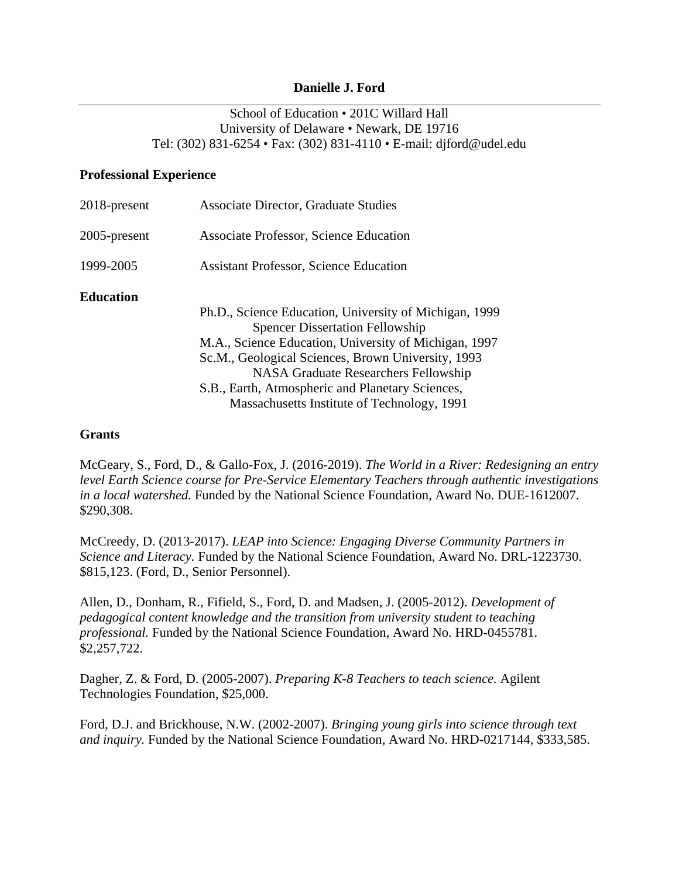### **Danielle J. Ford**

# School of Education • 201C Willard Hall University of Delaware • Newark, DE 19716 Tel: (302) 831-6254 • Fax: (302) 831-4110 • E-mail: djford@udel.edu

### **Professional Experience**

| 2018-present | <b>Associate Director, Graduate Studies</b>            |
|--------------|--------------------------------------------------------|
| 2005-present | Associate Professor, Science Education                 |
| 1999-2005    | <b>Assistant Professor, Science Education</b>          |
| Education    |                                                        |
|              | Ph.D., Science Education, University of Michigan, 1999 |
|              | <b>Spencer Dissertation Fellowship</b>                 |
|              | M.A., Science Education, University of Michigan, 1997  |
|              | Sc.M., Geological Sciences, Brown University, 1993     |
|              | <b>NASA Graduate Researchers Fellowship</b>            |
|              | S.B., Earth, Atmospheric and Planetary Sciences,       |
|              | Massachusetts Institute of Technology, 1991            |

### **Grants**

McGeary, S., Ford, D., & Gallo-Fox, J. (2016-2019). *The World in a River: Redesigning an entry level Earth Science course for Pre-Service Elementary Teachers through authentic investigations in a local watershed.* Funded by the National Science Foundation, Award No. DUE-1612007. \$290,308.

McCreedy, D. (2013-2017). *LEAP into Science: Engaging Diverse Community Partners in Science and Literacy.* Funded by the National Science Foundation, Award No. DRL-1223730. \$815,123. (Ford, D., Senior Personnel).

Allen, D., Donham, R., Fifield, S., Ford, D. and Madsen, J. (2005-2012). *Development of pedagogical content knowledge and the transition from university student to teaching professional.* Funded by the National Science Foundation, Award No. HRD-0455781. \$2,257,722.

Dagher, Z. & Ford, D. (2005-2007). *Preparing K-8 Teachers to teach science.* Agilent Technologies Foundation, \$25,000.

Ford, D.J. and Brickhouse, N.W. (2002-2007). *Bringing young girls into science through text and inquiry.* Funded by the National Science Foundation, Award No. HRD-0217144, \$333,585.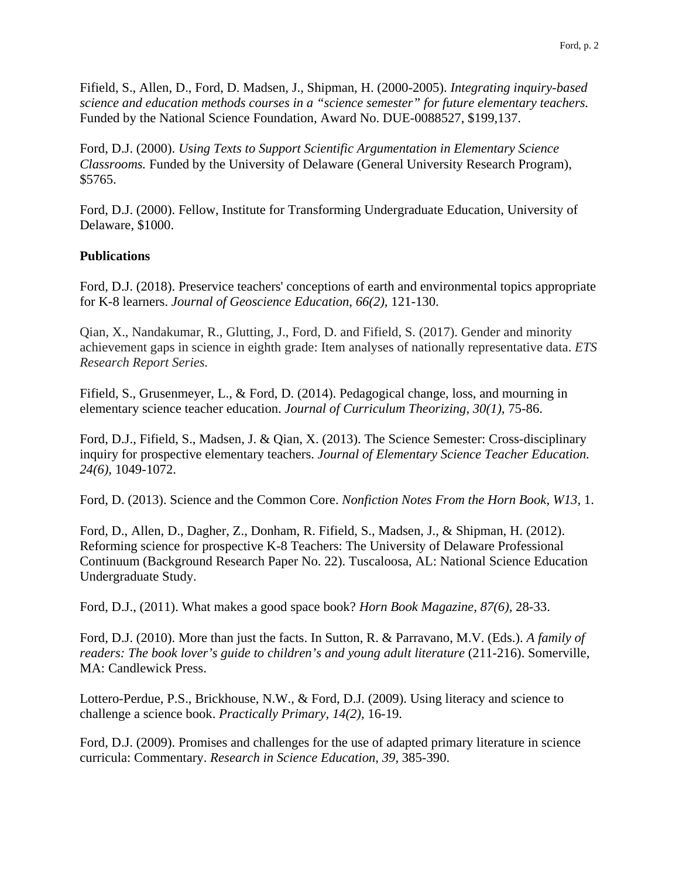Fifield, S., Allen, D., Ford, D. Madsen, J., Shipman, H. (2000-2005). *Integrating inquiry-based science and education methods courses in a "science semester" for future elementary teachers.*  Funded by the National Science Foundation, Award No. DUE-0088527, \$199,137.

Ford, D.J. (2000). *Using Texts to Support Scientific Argumentation in Elementary Science Classrooms.* Funded by the University of Delaware (General University Research Program), \$5765.

Ford, D.J. (2000). Fellow, Institute for Transforming Undergraduate Education, University of Delaware, \$1000.

## **Publications**

Ford, D.J. (2018). Preservice teachers' conceptions of earth and environmental topics appropriate for K-8 learners. *Journal of Geoscience Education*, *66(2),* 121-130.

Qian, X., Nandakumar, R., Glutting, J., Ford, D. and Fifield, S. (2017). Gender and minority achievement gaps in science in eighth grade: Item analyses of nationally representative data. *ETS Research Report Series.*

Fifield, S., Grusenmeyer, L., & Ford, D. (2014). Pedagogical change, loss, and mourning in elementary science teacher education. *Journal of Curriculum Theorizing, 30(1),* 75-86.

Ford, D.J., Fifield, S., Madsen, J. & Qian, X. (2013). The Science Semester: Cross-disciplinary inquiry for prospective elementary teachers. *Journal of Elementary Science Teacher Education. 24(6),* 1049-1072.

Ford, D. (2013). Science and the Common Core. *Nonfiction Notes From the Horn Book, W13,* 1.

Ford, D., Allen, D., Dagher, Z., Donham, R. Fifield, S., Madsen, J., & Shipman, H. (2012). Reforming science for prospective K-8 Teachers: The University of Delaware Professional Continuum (Background Research Paper No. 22). Tuscaloosa, AL: National Science Education Undergraduate Study.

Ford, D.J., (2011). What makes a good space book? *Horn Book Magazine, 87(6),* 28-33.

Ford, D.J. (2010). More than just the facts. In Sutton, R. & Parravano, M.V. (Eds.). *A family of readers: The book lover's guide to children's and young adult literature (211-216). Somerville,* MA: Candlewick Press.

Lottero-Perdue, P.S., Brickhouse, N.W., & Ford, D.J. (2009). Using literacy and science to challenge a science book. *Practically Primary, 14(2),* 16-19.

Ford, D.J. (2009). Promises and challenges for the use of adapted primary literature in science curricula: Commentary. *Research in Science Education, 39,* 385-390.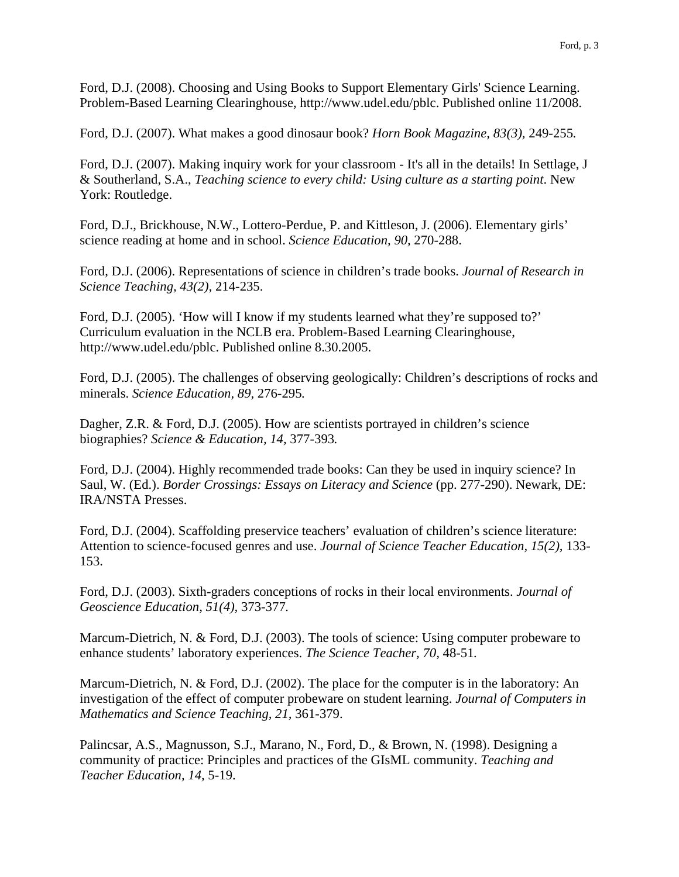Ford, D.J. (2008). Choosing and Using Books to Support Elementary Girls' Science Learning. Problem-Based Learning Clearinghouse, http://www.udel.edu/pblc. Published online 11/2008.

Ford, D.J. (2007). What makes a good dinosaur book? *Horn Book Magazine, 83(3),* 249-255*.*

Ford, D.J. (2007). Making inquiry work for your classroom - It's all in the details! In Settlage, J & Southerland, S.A., *Teaching science to every child: Using culture as a starting point*. New York: Routledge.

Ford, D.J., Brickhouse, N.W., Lottero-Perdue, P. and Kittleson, J. (2006). Elementary girls' science reading at home and in school. *Science Education, 90,* 270-288.

Ford, D.J. (2006). Representations of science in children's trade books. *Journal of Research in Science Teaching, 43(2),* 214-235.

Ford, D.J. (2005). 'How will I know if my students learned what they're supposed to?' Curriculum evaluation in the NCLB era. Problem-Based Learning Clearinghouse, http://www.udel.edu/pblc. Published online 8.30.2005.

Ford, D.J. (2005). The challenges of observing geologically: Children's descriptions of rocks and minerals. *Science Education, 89,* 276-295*.*

Dagher, Z.R. & Ford, D.J. (2005). How are scientists portrayed in children's science biographies? *Science & Education, 14,* 377-393*.*

Ford, D.J. (2004). Highly recommended trade books: Can they be used in inquiry science? In Saul, W. (Ed.). *Border Crossings: Essays on Literacy and Science* (pp. 277-290). Newark, DE: IRA/NSTA Presses.

Ford, D.J. (2004). Scaffolding preservice teachers' evaluation of children's science literature: Attention to science-focused genres and use. *Journal of Science Teacher Education, 15(2),* 133- 153.

Ford, D.J. (2003). Sixth-graders conceptions of rocks in their local environments. *Journal of Geoscience Education, 51(4),* 373-377*.*

Marcum-Dietrich, N. & Ford, D.J. (2003). The tools of science: Using computer probeware to enhance students' laboratory experiences. *The Science Teacher, 70,* 48-51*.*

Marcum-Dietrich, N. & Ford, D.J. (2002). The place for the computer is in the laboratory: An investigation of the effect of computer probeware on student learning. *Journal of Computers in Mathematics and Science Teaching, 21,* 361-379.

Palincsar, A.S., Magnusson, S.J., Marano, N., Ford, D., & Brown, N. (1998). Designing a community of practice: Principles and practices of the GIsML community. *Teaching and Teacher Education, 14,* 5-19.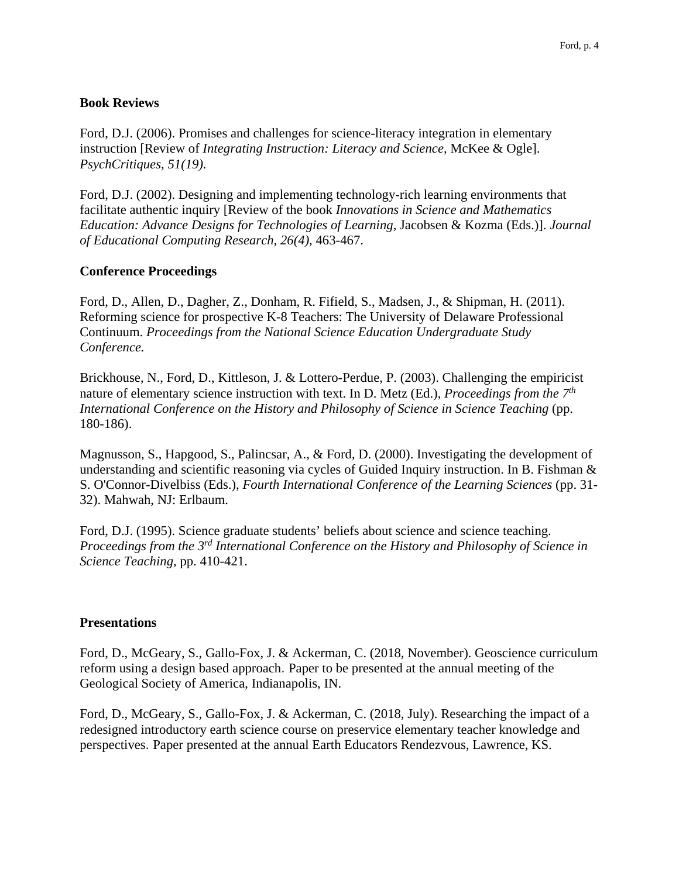### **Book Reviews**

Ford, D.J. (2006). Promises and challenges for science-literacy integration in elementary instruction [Review of *Integrating Instruction: Literacy and Science,* McKee & Ogle]. *PsychCritiques, 51(19).* 

Ford, D.J. (2002). Designing and implementing technology-rich learning environments that facilitate authentic inquiry [Review of the book *Innovations in Science and Mathematics Education: Advance Designs for Technologies of Learning*, Jacobsen & Kozma (Eds.)]. *Journal of Educational Computing Research, 26(4),* 463-467.

### **Conference Proceedings**

Ford, D., Allen, D., Dagher, Z., Donham, R. Fifield, S., Madsen, J., & Shipman, H. (2011). Reforming science for prospective K-8 Teachers: The University of Delaware Professional Continuum. *Proceedings from the National Science Education Undergraduate Study Conference.*

Brickhouse, N., Ford, D., Kittleson, J. & Lottero-Perdue, P. (2003). Challenging the empiricist nature of elementary science instruction with text. In D. Metz (Ed.), *Proceedings from the 7th International Conference on the History and Philosophy of Science in Science Teaching* (pp. 180-186).

Magnusson, S., Hapgood, S., Palincsar, A., & Ford, D. (2000). Investigating the development of understanding and scientific reasoning via cycles of Guided Inquiry instruction. In B. Fishman & S. O'Connor-Divelbiss (Eds.), *Fourth International Conference of the Learning Sciences* (pp. 31- 32). Mahwah, NJ: Erlbaum.

Ford, D.J. (1995). Science graduate students' beliefs about science and science teaching. *Proceedings from the 3rd International Conference on the History and Philosophy of Science in Science Teaching,* pp. 410-421.

#### **Presentations**

Ford, D., McGeary, S., Gallo-Fox, J. & Ackerman, C. (2018, November). Geoscience curriculum reform using a design based approach. Paper to be presented at the annual meeting of the Geological Society of America, Indianapolis, IN.

Ford, D., McGeary, S., Gallo-Fox, J. & Ackerman, C. (2018, July). Researching the impact of a redesigned introductory earth science course on preservice elementary teacher knowledge and perspectives. Paper presented at the annual Earth Educators Rendezvous, Lawrence, KS.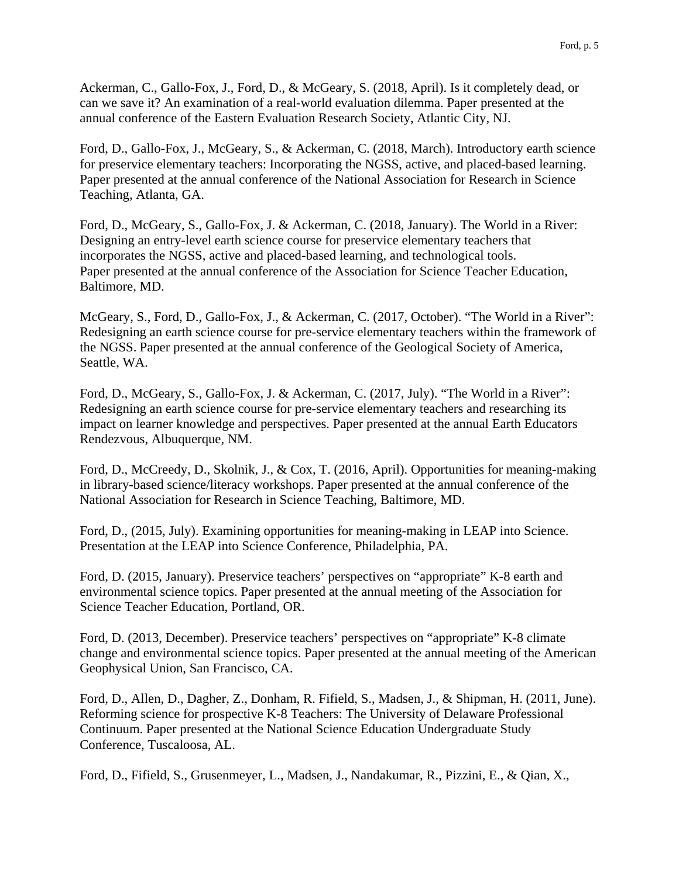Ackerman, C., Gallo-Fox, J., Ford, D., & McGeary, S. (2018, April). Is it completely dead, or can we save it? An examination of a real-world evaluation dilemma. Paper presented at the annual conference of the Eastern Evaluation Research Society, Atlantic City, NJ.

Ford, D., Gallo-Fox, J., McGeary, S., & Ackerman, C. (2018, March). Introductory earth science for preservice elementary teachers: Incorporating the NGSS, active, and placed-based learning. Paper presented at the annual conference of the National Association for Research in Science Teaching, Atlanta, GA.

Ford, D., McGeary, S., Gallo-Fox, J. & Ackerman, C. (2018, January). The World in a River: Designing an entry-level earth science course for preservice elementary teachers that incorporates the NGSS, active and placed-based learning, and technological tools. Paper presented at the annual conference of the Association for Science Teacher Education, Baltimore, MD.

McGeary, S., Ford, D., Gallo-Fox, J., & Ackerman, C. (2017, October). "The World in a River": Redesigning an earth science course for pre-service elementary teachers within the framework of the NGSS. Paper presented at the annual conference of the Geological Society of America, Seattle, WA.

Ford, D., McGeary, S., Gallo-Fox, J. & Ackerman, C. (2017, July). "The World in a River": Redesigning an earth science course for pre-service elementary teachers and researching its impact on learner knowledge and perspectives. Paper presented at the annual Earth Educators Rendezvous, Albuquerque, NM.

Ford, D., McCreedy, D., Skolnik, J., & Cox, T. (2016, April). Opportunities for meaning-making in library-based science/literacy workshops. Paper presented at the annual conference of the National Association for Research in Science Teaching, Baltimore, MD.

Ford, D., (2015, July). Examining opportunities for meaning-making in LEAP into Science. Presentation at the LEAP into Science Conference, Philadelphia, PA.

Ford, D. (2015, January). Preservice teachers' perspectives on "appropriate" K-8 earth and environmental science topics. Paper presented at the annual meeting of the Association for Science Teacher Education, Portland, OR.

Ford, D. (2013, December). Preservice teachers' perspectives on "appropriate" K-8 climate change and environmental science topics. Paper presented at the annual meeting of the American Geophysical Union, San Francisco, CA.

Ford, D., Allen, D., Dagher, Z., Donham, R. Fifield, S., Madsen, J., & Shipman, H. (2011, June). Reforming science for prospective K-8 Teachers: The University of Delaware Professional Continuum. Paper presented at the National Science Education Undergraduate Study Conference, Tuscaloosa, AL.

Ford, D., Fifield, S., Grusenmeyer, L., Madsen, J., Nandakumar, R., Pizzini, E., & Qian, X.,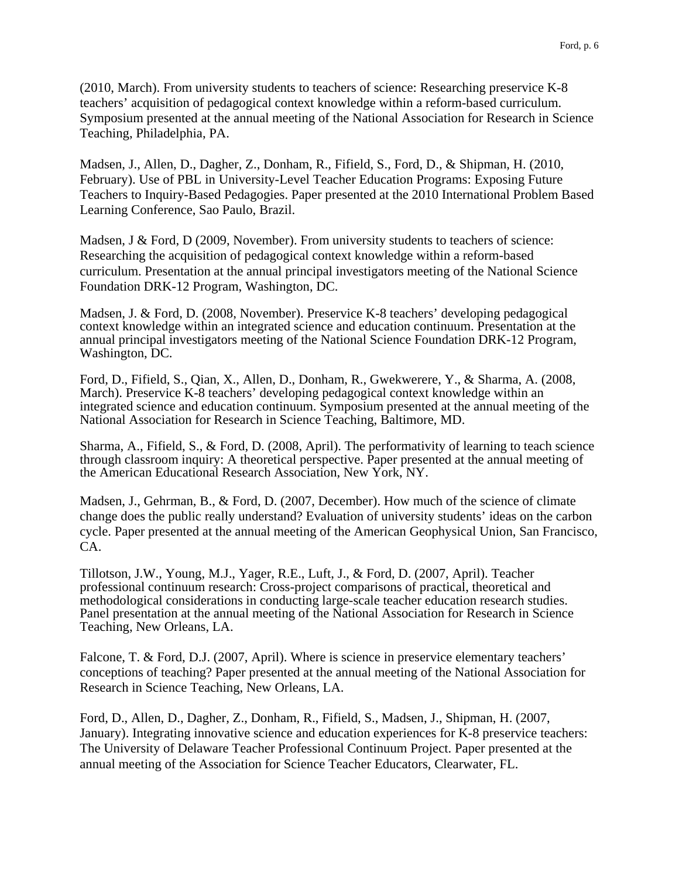(2010, March). From university students to teachers of science: Researching preservice K-8 teachers' acquisition of pedagogical context knowledge within a reform-based curriculum. Symposium presented at the annual meeting of the National Association for Research in Science Teaching, Philadelphia, PA.

Madsen, J., Allen, D., Dagher, Z., Donham, R., Fifield, S., Ford, D., & Shipman, H. (2010, February). Use of PBL in University-Level Teacher Education Programs: Exposing Future Teachers to Inquiry-Based Pedagogies. Paper presented at the 2010 International Problem Based Learning Conference, Sao Paulo, Brazil.

Madsen, J & Ford, D (2009, November). From university students to teachers of science: Researching the acquisition of pedagogical context knowledge within a reform-based curriculum. Presentation at the annual principal investigators meeting of the National Science Foundation DRK-12 Program, Washington, DC.

Madsen, J. & Ford, D. (2008, November). Preservice K-8 teachers' developing pedagogical context knowledge within an integrated science and education continuum. Presentation at the annual principal investigators meeting of the National Science Foundation DRK-12 Program, Washington, DC.

Ford, D., Fifield, S., Qian, X., Allen, D., Donham, R., Gwekwerere, Y., & Sharma, A. (2008, March). Preservice K-8 teachers' developing pedagogical context knowledge within an integrated science and education continuum. Symposium presented at the annual meeting of the National Association for Research in Science Teaching, Baltimore, MD.

Sharma, A., Fifield, S., & Ford, D. (2008, April). The performativity of learning to teach science through classroom inquiry: A theoretical perspective. Paper presented at the annual meeting of the American Educational Research Association, New York, NY.

Madsen, J., Gehrman, B., & Ford, D. (2007, December). How much of the science of climate change does the public really understand? Evaluation of university students' ideas on the carbon cycle. Paper presented at the annual meeting of the American Geophysical Union, San Francisco, CA.

Tillotson, J.W., Young, M.J., Yager, R.E., Luft, J., & Ford, D. (2007, April). Teacher professional continuum research: Cross-project comparisons of practical, theoretical and methodological considerations in conducting large-scale teacher education research studies. Panel presentation at the annual meeting of the National Association for Research in Science Teaching, New Orleans, LA.

Falcone, T. & Ford, D.J. (2007, April). Where is science in preservice elementary teachers' conceptions of teaching? Paper presented at the annual meeting of the National Association for Research in Science Teaching, New Orleans, LA.

Ford, D., Allen, D., Dagher, Z., Donham, R., Fifield, S., Madsen, J., Shipman, H. (2007, January). Integrating innovative science and education experiences for K-8 preservice teachers: The University of Delaware Teacher Professional Continuum Project. Paper presented at the annual meeting of the Association for Science Teacher Educators, Clearwater, FL.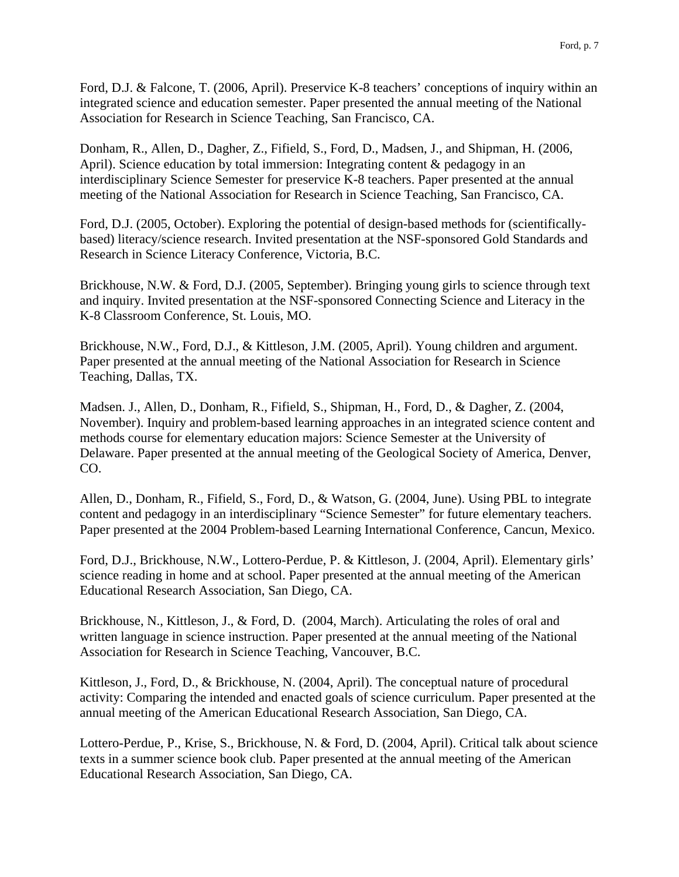Ford, D.J. & Falcone, T. (2006, April). Preservice K-8 teachers' conceptions of inquiry within an integrated science and education semester. Paper presented the annual meeting of the National Association for Research in Science Teaching, San Francisco, CA.

Donham, R., Allen, D., Dagher, Z., Fifield, S., Ford, D., Madsen, J., and Shipman, H. (2006, April). Science education by total immersion: Integrating content & pedagogy in an interdisciplinary Science Semester for preservice K-8 teachers. Paper presented at the annual meeting of the National Association for Research in Science Teaching, San Francisco, CA.

Ford, D.J. (2005, October). Exploring the potential of design-based methods for (scientificallybased) literacy/science research. Invited presentation at the NSF-sponsored Gold Standards and Research in Science Literacy Conference, Victoria, B.C.

Brickhouse, N.W. & Ford, D.J. (2005, September). Bringing young girls to science through text and inquiry. Invited presentation at the NSF-sponsored Connecting Science and Literacy in the K-8 Classroom Conference, St. Louis, MO.

Brickhouse, N.W., Ford, D.J., & Kittleson, J.M. (2005, April). Young children and argument. Paper presented at the annual meeting of the National Association for Research in Science Teaching, Dallas, TX.

Madsen. J., Allen, D., Donham, R., Fifield, S., Shipman, H., Ford, D., & Dagher, Z. (2004, November). Inquiry and problem-based learning approaches in an integrated science content and methods course for elementary education majors: Science Semester at the University of Delaware. Paper presented at the annual meeting of the Geological Society of America, Denver, CO.

Allen, D., Donham, R., Fifield, S., Ford, D., & Watson, G. (2004, June). Using PBL to integrate content and pedagogy in an interdisciplinary "Science Semester" for future elementary teachers. Paper presented at the 2004 Problem-based Learning International Conference, Cancun, Mexico.

Ford, D.J., Brickhouse, N.W., Lottero-Perdue, P. & Kittleson, J. (2004, April). Elementary girls' science reading in home and at school. Paper presented at the annual meeting of the American Educational Research Association, San Diego, CA.

Brickhouse, N., Kittleson, J., & Ford, D. (2004, March). Articulating the roles of oral and written language in science instruction. Paper presented at the annual meeting of the National Association for Research in Science Teaching, Vancouver, B.C.

Kittleson, J., Ford, D., & Brickhouse, N. (2004, April). The conceptual nature of procedural activity: Comparing the intended and enacted goals of science curriculum. Paper presented at the annual meeting of the American Educational Research Association, San Diego, CA.

Lottero-Perdue, P., Krise, S., Brickhouse, N. & Ford, D. (2004, April). Critical talk about science texts in a summer science book club. Paper presented at the annual meeting of the American Educational Research Association, San Diego, CA.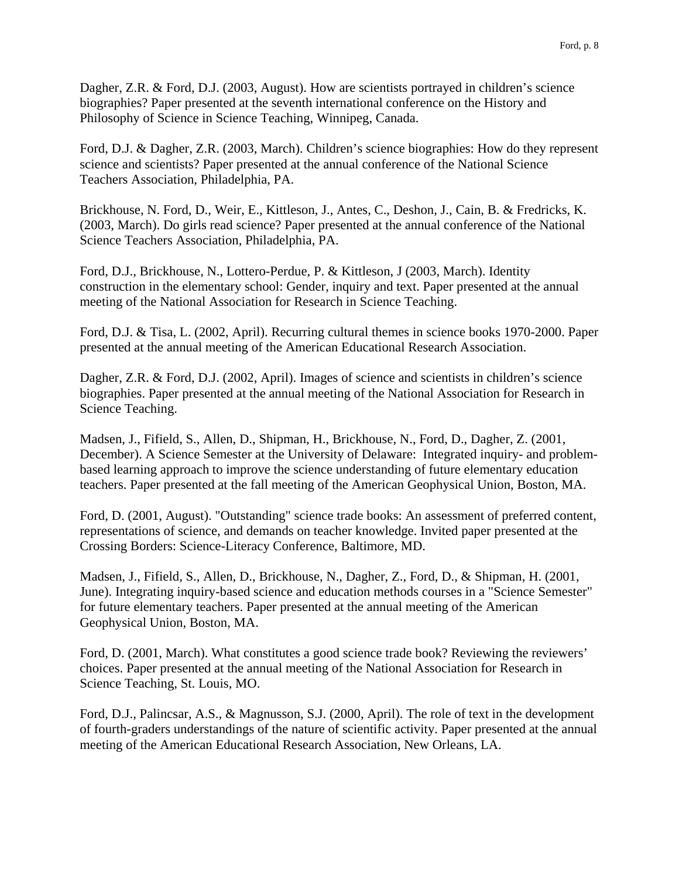Dagher, Z.R. & Ford, D.J. (2003, August). How are scientists portrayed in children's science biographies? Paper presented at the seventh international conference on the History and Philosophy of Science in Science Teaching, Winnipeg, Canada.

Ford, D.J. & Dagher, Z.R. (2003, March). Children's science biographies: How do they represent science and scientists? Paper presented at the annual conference of the National Science Teachers Association, Philadelphia, PA.

Brickhouse, N. Ford, D., Weir, E., Kittleson, J., Antes, C., Deshon, J., Cain, B. & Fredricks, K. (2003, March). Do girls read science? Paper presented at the annual conference of the National Science Teachers Association, Philadelphia, PA.

Ford, D.J., Brickhouse, N., Lottero-Perdue, P. & Kittleson, J (2003, March). Identity construction in the elementary school: Gender, inquiry and text. Paper presented at the annual meeting of the National Association for Research in Science Teaching.

Ford, D.J. & Tisa, L. (2002, April). Recurring cultural themes in science books 1970-2000. Paper presented at the annual meeting of the American Educational Research Association.

Dagher, Z.R. & Ford, D.J. (2002, April). Images of science and scientists in children's science biographies. Paper presented at the annual meeting of the National Association for Research in Science Teaching.

Madsen, J., Fifield, S., Allen, D., Shipman, H., Brickhouse, N., Ford, D., Dagher, Z. (2001, December). A Science Semester at the University of Delaware: Integrated inquiry- and problembased learning approach to improve the science understanding of future elementary education teachers. Paper presented at the fall meeting of the American Geophysical Union, Boston, MA.

Ford, D. (2001, August). "Outstanding" science trade books: An assessment of preferred content, representations of science, and demands on teacher knowledge. Invited paper presented at the Crossing Borders: Science-Literacy Conference, Baltimore, MD.

Madsen, J., Fifield, S., Allen, D., Brickhouse, N., Dagher, Z., Ford, D., & Shipman, H. (2001, June). Integrating inquiry-based science and education methods courses in a "Science Semester" for future elementary teachers. Paper presented at the annual meeting of the American Geophysical Union, Boston, MA.

Ford, D. (2001, March). What constitutes a good science trade book? Reviewing the reviewers' choices. Paper presented at the annual meeting of the National Association for Research in Science Teaching, St. Louis, MO.

Ford, D.J., Palincsar, A.S., & Magnusson, S.J. (2000, April). The role of text in the development of fourth-graders understandings of the nature of scientific activity. Paper presented at the annual meeting of the American Educational Research Association, New Orleans, LA.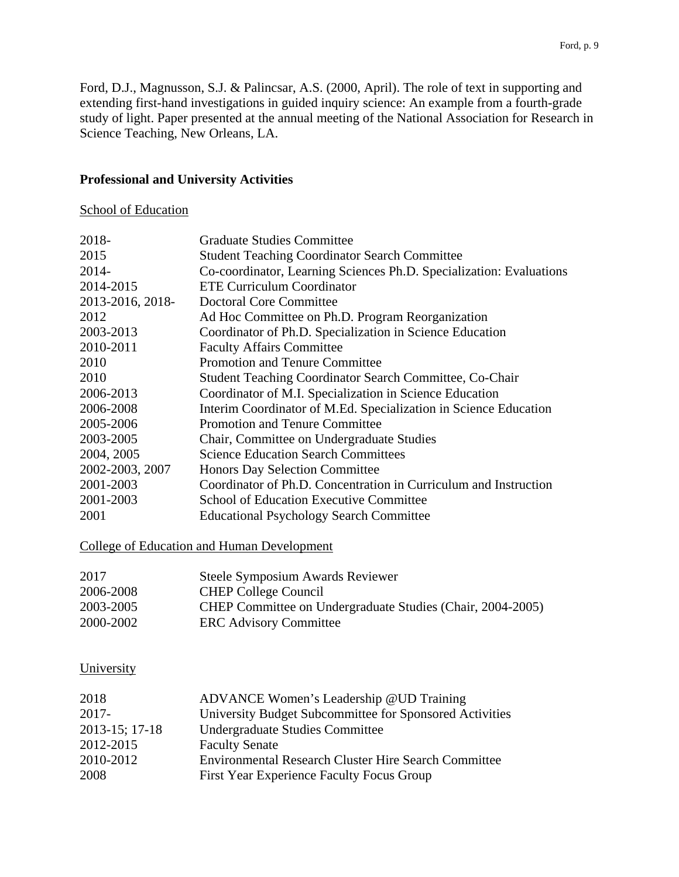Ford, D.J., Magnusson, S.J. & Palincsar, A.S. (2000, April). The role of text in supporting and extending first-hand investigations in guided inquiry science: An example from a fourth-grade study of light. Paper presented at the annual meeting of the National Association for Research in Science Teaching, New Orleans, LA.

### **Professional and University Activities**

School of Education

| 2018-            | <b>Graduate Studies Committee</b>                                   |
|------------------|---------------------------------------------------------------------|
| 2015             | <b>Student Teaching Coordinator Search Committee</b>                |
| 2014-            | Co-coordinator, Learning Sciences Ph.D. Specialization: Evaluations |
| 2014-2015        | <b>ETE Curriculum Coordinator</b>                                   |
| 2013-2016, 2018- | <b>Doctoral Core Committee</b>                                      |
| 2012             | Ad Hoc Committee on Ph.D. Program Reorganization                    |
| 2003-2013        | Coordinator of Ph.D. Specialization in Science Education            |
| 2010-2011        | <b>Faculty Affairs Committee</b>                                    |
| 2010             | <b>Promotion and Tenure Committee</b>                               |
| 2010             | <b>Student Teaching Coordinator Search Committee, Co-Chair</b>      |
| 2006-2013        | Coordinator of M.I. Specialization in Science Education             |
| 2006-2008        | Interim Coordinator of M.Ed. Specialization in Science Education    |
| 2005-2006        | <b>Promotion and Tenure Committee</b>                               |
| 2003-2005        | Chair, Committee on Undergraduate Studies                           |
| 2004, 2005       | <b>Science Education Search Committees</b>                          |
| 2002-2003, 2007  | <b>Honors Day Selection Committee</b>                               |
| 2001-2003        | Coordinator of Ph.D. Concentration in Curriculum and Instruction    |
| 2001-2003        | <b>School of Education Executive Committee</b>                      |
| 2001             | <b>Educational Psychology Search Committee</b>                      |

College of Education and Human Development

| 2017      | Steele Symposium Awards Reviewer                           |
|-----------|------------------------------------------------------------|
| 2006-2008 | <b>CHEP College Council</b>                                |
| 2003-2005 | CHEP Committee on Undergraduate Studies (Chair, 2004-2005) |
| 2000-2002 | <b>ERC</b> Advisory Committee                              |

# **University**

| 2018           | ADVANCE Women's Leadership @UD Training                     |
|----------------|-------------------------------------------------------------|
| $2017 -$       | University Budget Subcommittee for Sponsored Activities     |
| 2013-15; 17-18 | Undergraduate Studies Committee                             |
| 2012-2015      | <b>Faculty Senate</b>                                       |
| 2010-2012      | <b>Environmental Research Cluster Hire Search Committee</b> |
| 2008           | First Year Experience Faculty Focus Group                   |